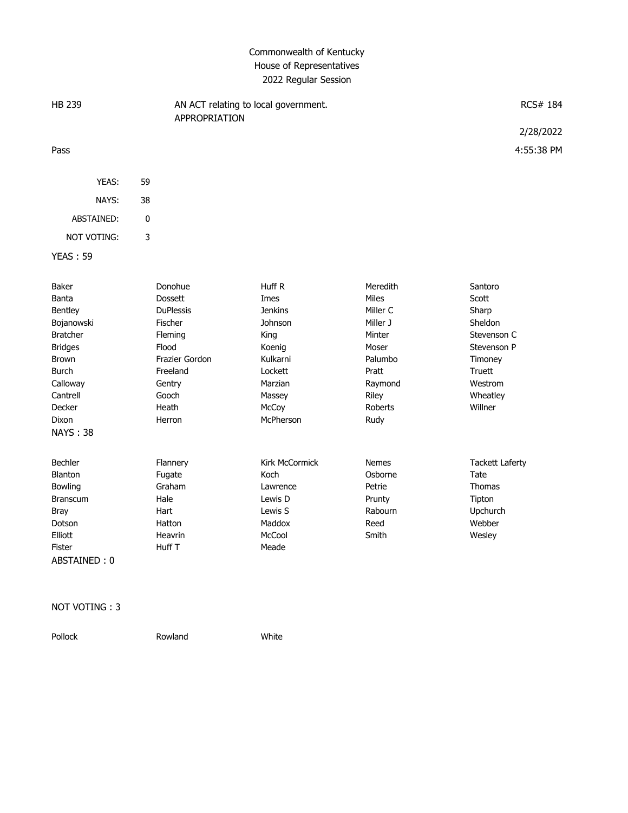## Commonwealth of Kentucky House of Representatives 2022 Regular Session

| <b>HB 239</b>   |                  | AN ACT relating to local government.<br>RCS# 184<br>APPROPRIATION |                |                        |
|-----------------|------------------|-------------------------------------------------------------------|----------------|------------------------|
|                 |                  |                                                                   |                | 2/28/2022              |
| Pass            |                  |                                                                   |                | 4:55:38 PM             |
|                 |                  |                                                                   |                |                        |
| YEAS:           | 59               |                                                                   |                |                        |
| NAYS:           | 38               |                                                                   |                |                        |
| ABSTAINED:      | $\pmb{0}$        |                                                                   |                |                        |
| NOT VOTING:     | 3                |                                                                   |                |                        |
| <b>YEAS: 59</b> |                  |                                                                   |                |                        |
|                 |                  |                                                                   |                |                        |
| <b>Baker</b>    | Donohue          | Huff R                                                            | Meredith       | Santoro                |
| Banta           | <b>Dossett</b>   | Imes                                                              | Miles          | Scott                  |
| Bentley         | <b>DuPlessis</b> | <b>Jenkins</b>                                                    | Miller C       | Sharp                  |
| Bojanowski      | Fischer          | Johnson                                                           | Miller J       | Sheldon                |
| <b>Bratcher</b> | Fleming          | King                                                              | Minter         | Stevenson C            |
| <b>Bridges</b>  | Flood            | Koenig                                                            | Moser          | Stevenson P            |
| Brown           | Frazier Gordon   | Kulkarni                                                          | Palumbo        | Timoney                |
| <b>Burch</b>    | Freeland         | Lockett                                                           | Pratt          | Truett                 |
| Calloway        | Gentry           | Marzian                                                           | Raymond        | Westrom                |
| Cantrell        | Gooch            | Massey                                                            | Riley          | Wheatley               |
| Decker          | Heath            | McCoy                                                             | <b>Roberts</b> | Willner                |
| <b>Dixon</b>    | Herron           | McPherson                                                         | Rudy           |                        |
| <b>NAYS: 38</b> |                  |                                                                   |                |                        |
|                 |                  |                                                                   |                |                        |
| <b>Bechler</b>  | Flannery         | <b>Kirk McCormick</b>                                             | <b>Nemes</b>   | <b>Tackett Laferty</b> |
| Blanton         | Fugate           | Koch                                                              | Osborne        | Tate                   |
| Bowling         | Graham           | Lawrence                                                          | Petrie         | Thomas                 |
| Branscum        | Hale             | Lewis D                                                           | Prunty         | Tipton                 |
| <b>Bray</b>     | Hart             | Lewis S                                                           | Rabourn        | Upchurch               |
| Dotson          | Hatton           | Maddox                                                            | Reed           | Webber                 |
| Elliott         | Heavrin          | McCool                                                            | Smith          | Wesley                 |
| Fister          | Huff T           | Meade                                                             |                |                        |
| ABSTAINED: 0    |                  |                                                                   |                |                        |

## NOT VOTING : 3

Rowland White